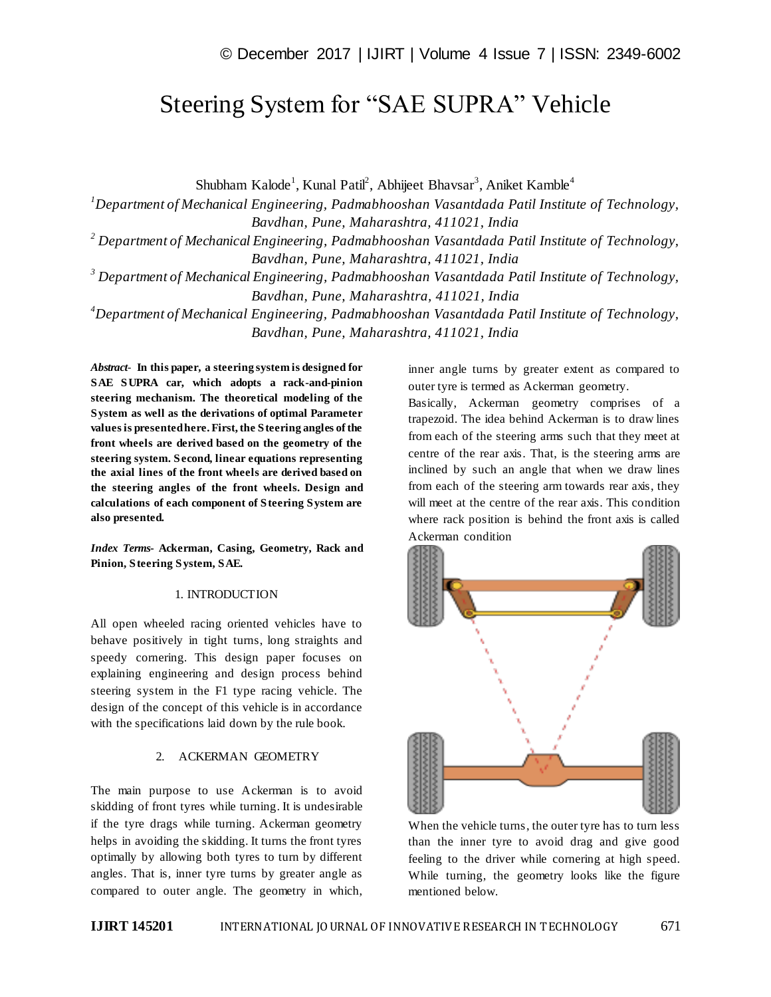# Steering System for "SAE SUPRA" Vehicle

Shubham Kalode<sup>1</sup>, Kunal Patil<sup>2</sup>, Abhijeet Bhavsar<sup>3</sup>, Aniket Kamble<sup>4</sup>

*<sup>1</sup>Department of Mechanical Engineering, Padmabhooshan Vasantdada Patil Institute of Technology, Bavdhan, Pune, Maharashtra, 411021, India <sup>2</sup> Department of Mechanical Engineering, Padmabhooshan Vasantdada Patil Institute of Technology, Bavdhan, Pune, Maharashtra, 411021, India <sup>3</sup> Department of Mechanical Engineering, Padmabhooshan Vasantdada Patil Institute of Technology, Bavdhan, Pune, Maharashtra, 411021, India <sup>4</sup>Department of Mechanical Engineering, Padmabhooshan Vasantdada Patil Institute of Technology, Bavdhan, Pune, Maharashtra, 411021, India*

*Abstract*- **In this paper, a steering system is designed for SAE SUPRA car, which adopts a rack-and-pinion steering mechanism. The theoretical modeling of the System as well as the derivations of optimal Parameter values is presented here. First, the Steering angles of the front wheels are derived based on the geometry of the steering system. Second, linear equations representing the axial lines of the front wheels are derived based on the steering angles of the front wheels. Design and calculations of each component of Steering System are also presented.**

*Index Terms***- Ackerman, Casing, Geometry, Rack and Pinion, Steering System, SAE.**

#### 1. INTRODUCTION

All open wheeled racing oriented vehicles have to behave positively in tight turns, long straights and speedy cornering. This design paper focuses on explaining engineering and design process behind steering system in the F1 type racing vehicle. The design of the concept of this vehicle is in accordance with the specifications laid down by the rule book.

#### 2. ACKERMAN GEOMETRY

The main purpose to use Ackerman is to avoid skidding of front tyres while turning. It is undesirable if the tyre drags while turning. Ackerman geometry helps in avoiding the skidding. It turns the front tyres optimally by allowing both tyres to turn by different angles. That is, inner tyre turns by greater angle as compared to outer angle. The geometry in which, inner angle turns by greater extent as compared to outer tyre is termed as Ackerman geometry.

Basically, Ackerman geometry comprises of a trapezoid. The idea behind Ackerman is to draw lines from each of the steering arms such that they meet at centre of the rear axis. That, is the steering arms are inclined by such an angle that when we draw lines from each of the steering arm towards rear axis, they will meet at the centre of the rear axis. This condition where rack position is behind the front axis is called Ackerman condition



When the vehicle turns, the outer tyre has to turn less than the inner tyre to avoid drag and give good feeling to the driver while cornering at high speed. While turning, the geometry looks like the figure mentioned below.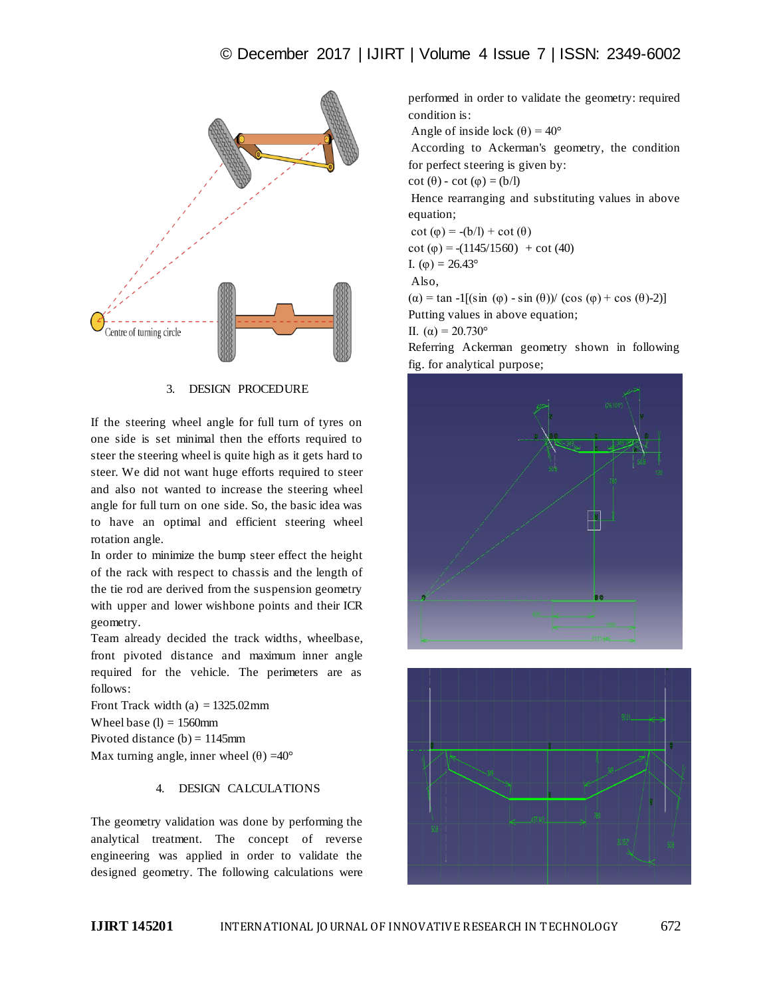

3. DESIGN PROCEDURE

If the steering wheel angle for full turn of tyres on one side is set minimal then the efforts required to steer the steering wheel is quite high as it gets hard to steer. We did not want huge efforts required to steer and also not wanted to increase the steering wheel angle for full turn on one side. So, the basic idea was to have an optimal and efficient steering wheel rotation angle.

In order to minimize the bump steer effect the height of the rack with respect to chassis and the length of the tie rod are derived from the suspension geometry with upper and lower wishbone points and their ICR geometry.

Team already decided the track widths, wheelbase, front pivoted distance and maximum inner angle required for the vehicle. The perimeters are as follows:

Front Track width  $(a) = 1325.02$ mm Wheel base  $(l) = 1560$ mm Pivoted distance  $(b) = 1145$ mm Max turning angle, inner wheel  $(\theta) = 40^{\circ}$ 

# 4. DESIGN CALCULATIONS

The geometry validation was done by performing the analytical treatment. The concept of reverse engineering was applied in order to validate the designed geometry. The following calculations were performed in order to validate the geometry: required condition is:

Angle of inside lock  $(\theta) = 40^{\circ}$ 

According to Ackerman's geometry, the condition for perfect steering is given by:

cot  $(\theta)$  - cot  $(\phi) = (b/l)$ 

Hence rearranging and substituting values in above equation;

cot  $(\varphi) = -(b/l) + \cot(\theta)$ 

cot (φ) =  $-(1145/1560)$  + cot (40)

I. (φ) = 26.43 $\circ$ 

Also,

 $(\alpha)$  = tan -1[(sin ( $\varphi$ ) - sin ( $\theta$ ))/ (cos ( $\varphi$ ) + cos ( $\theta$ )-2)]

Putting values in above equation;

II. (α) = 20.730°

Referring Ackerman geometry shown in following fig. for analytical purpose;



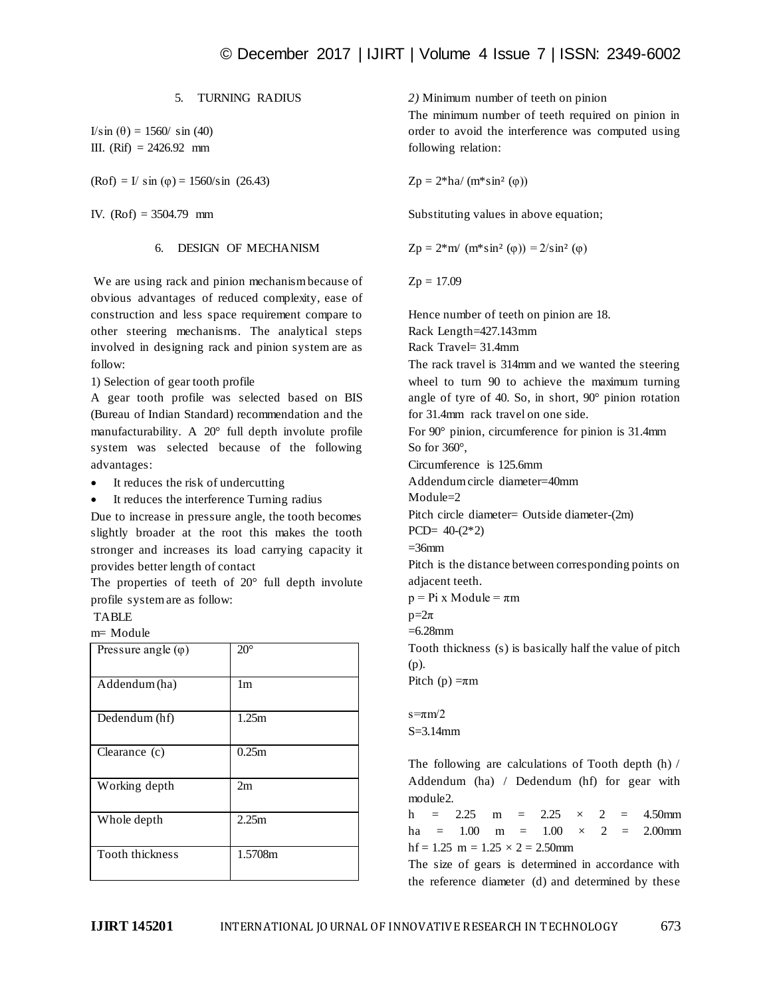## 5. TURNING RADIUS

I/sin (θ) = 1560/ sin (40) III. (Rif) = 2426.92 mm

(Rof) = I/ sin ( $\varphi$ ) = 1560/sin (26.43)

IV. (Rof) = 3504.79 mm

#### 6. DESIGN OF MECHANISM

We are using rack and pinion mechanism because of obvious advantages of reduced complexity, ease of construction and less space requirement compare to other steering mechanisms. The analytical steps involved in designing rack and pinion system are as follow:

1) Selection of gear tooth profile

A gear tooth profile was selected based on BIS (Bureau of Indian Standard) recommendation and the manufacturability. A 20° full depth involute profile system was selected because of the following advantages:

It reduces the risk of undercutting

• It reduces the interference Turning radius

Due to increase in pressure angle, the tooth becomes slightly broader at the root this makes the tooth stronger and increases its load carrying capacity it provides better length of contact

The properties of teeth of 20° full depth involute profile system are as follow:

TABLE

m= Module

| Pressure angle $(\varphi)$ | $20^{\circ}$   |
|----------------------------|----------------|
| Addendum (ha)              | 1 <sub>m</sub> |
| Dedendum (hf)              | 1.25m          |
| Clearance $(c)$            | 0.25m          |
| Working depth              | 2m             |
| Whole depth                | 2.25m          |
| <b>Tooth thickness</b>     | 1.5708m        |

*2)* Minimum number of teeth on pinion

The minimum number of teeth required on pinion in order to avoid the interference was computed using following relation:

 $Zp = 2*ha/(m*sin<sup>2</sup>(φ))$ 

Substituting values in above equation;

 $Zp = 2 \cdot m / (m \cdot \sin^2(\varphi)) = 2/\sin^2(\varphi)$ 

 $Zp = 17.09$ 

Hence number of teeth on pinion are 18. Rack Length=427.143mm Rack Travel= 31.4mm The rack travel is 314mm and we wanted the steering wheel to turn 90 to achieve the maximum turning angle of tyre of 40. So, in short, 90° pinion rotation for 31.4mm rack travel on one side. For 90° pinion, circumference for pinion is 31.4mm So for 360°, Circumference is 125.6mm Addendum circle diameter=40mm  $Module=2$ Pitch circle diameter= Outside diameter-(2m) PCD=  $40-(2*2)$  $=36$ mm Pitch is the distance between corresponding points on adjacent teeth.  $p = Pi \times Module = \pi m$  $p=2\pi$ =6.28mm Tooth thickness (s) is basically half the value of pitch (p). Pitch (p)  $=\pi m$  $s = \pi m/2$ 

The following are calculations of Tooth depth (h) / Addendum (ha) / Dedendum (hf) for gear with module2.

h =  $2.25$  m =  $2.25 \times 2 = 4.50$ mm ha =  $1.00 \text{ m} = 1.00 \times 2 = 2.00 \text{ mm}$ hf = 1.25 m =  $1.25 \times 2 = 2.50$ mm

The size of gears is determined in accordance with the reference diameter (d) and determined by these

S=3.14mm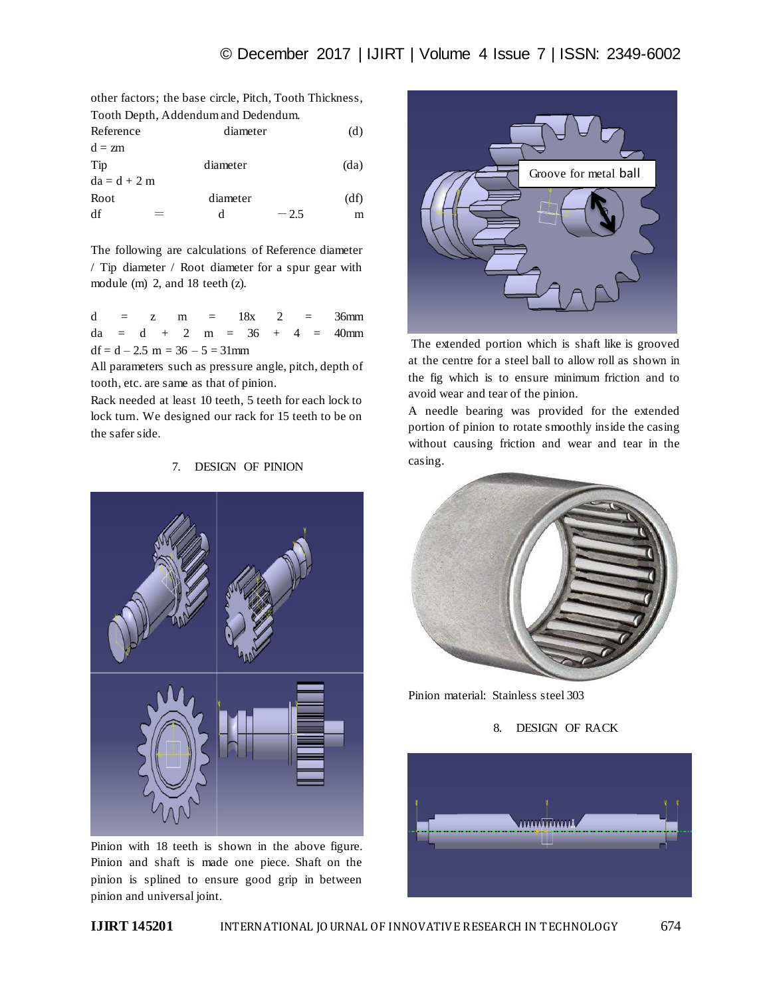| other factors; the base circle, Pitch, Tooth Thickness, |  |
|---------------------------------------------------------|--|
| Tooth Depth, Addendum and Dedendum.                     |  |

| Reference     | diameter |        | (d)  |
|---------------|----------|--------|------|
| $d = zm$      |          |        |      |
| Tip           | diameter |        | (da) |
| $da = d + 2m$ |          |        |      |
| Root          | diameter |        | (df) |
| df            | d        | $-2.5$ | m    |

The following are calculations of Reference diameter / Tip diameter / Root diameter for a spur gear with module (m) 2, and 18 teeth (z).

d = z m =  $18x$  2 = 36mm  $da = d + 2 m = 36 + 4 = 40$ mm  $df = d - 2.5$  m = 36 – 5 = 31mm

All parameters such as pressure angle, pitch, depth of tooth, etc. are same as that of pinion.

Rack needed at least 10 teeth, 5 teeth for each lock to lock turn. We designed our rack for 15 teeth to be on the safer side.

7. DESIGN OF PINION

Pinion with 18 teeth is shown in the above figure. Pinion and shaft is made one piece. Shaft on the pinion is splined to ensure good grip in between pinion and universal joint.



The extended portion which is shaft like is grooved at the centre for a steel ball to allow roll as shown in the fig which is to ensure minimum friction and to avoid wear and tear of the pinion.

A needle bearing was provided for the extended portion of pinion to rotate smoothly inside the casing without causing friction and wear and tear in the casing.



Pinion material: Stainless steel 303

8. DESIGN OF RACK

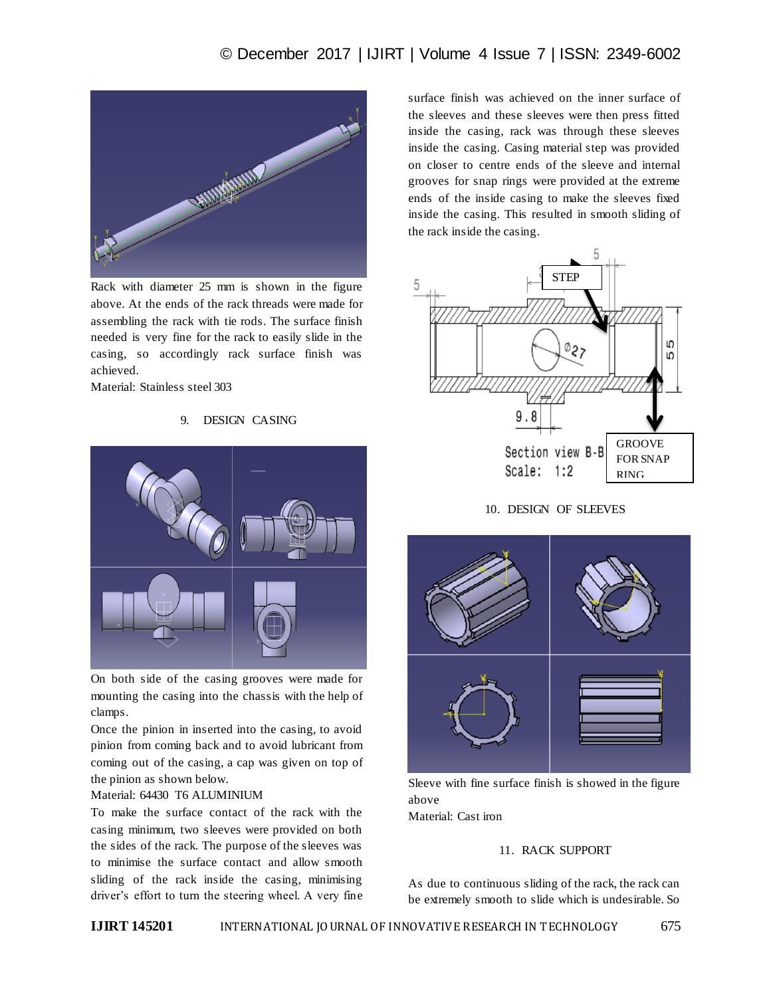

Rack with diameter 25 mm is shown in the figure above. At the ends of the rack threads were made for assembling the rack with tie rods. The surface finish needed is very fine for the rack to easily slide in the casing, so accordingly rack surface finish was achieved.

Material: Stainless steel 303

#### 9. DESIGN CASING



On both side of the casing grooves were made for mounting the casing into the chassis with the help of clamps.

Once the pinion in inserted into the casing, to avoid pinion from coming back and to avoid lubricant from coming out of the casing, a cap was given on top of the pinion as shown below.

#### Material: 64430 T6 ALUMINIUM

To make the surface contact of the rack with the casing minimum, two sleeves were provided on both the sides of the rack. The purpose of the sleeves was to minimise the surface contact and allow smooth sliding of the rack inside the casing, minimising driver's effort to turn the steering wheel. A very fine surface finish was achieved on the inner surface of the sleeves and these sleeves were then press fitted inside the casing, rack was through these sleeves inside the casing. Casing material step was provided on closer to centre ends of the sleeve and internal grooves for snap rings were provided at the extreme ends of the inside casing to make the sleeves fixed inside the casing. This resulted in smooth sliding of the rack inside the casing.



#### 10. DESIGN OF SLEEVES



Sleeve with fine surface finish is showed in the figure above Material: Cast iron

#### 11. RACK SUPPORT

As due to continuous sliding of the rack, the rack can be extremely smooth to slide which is undesirable. So